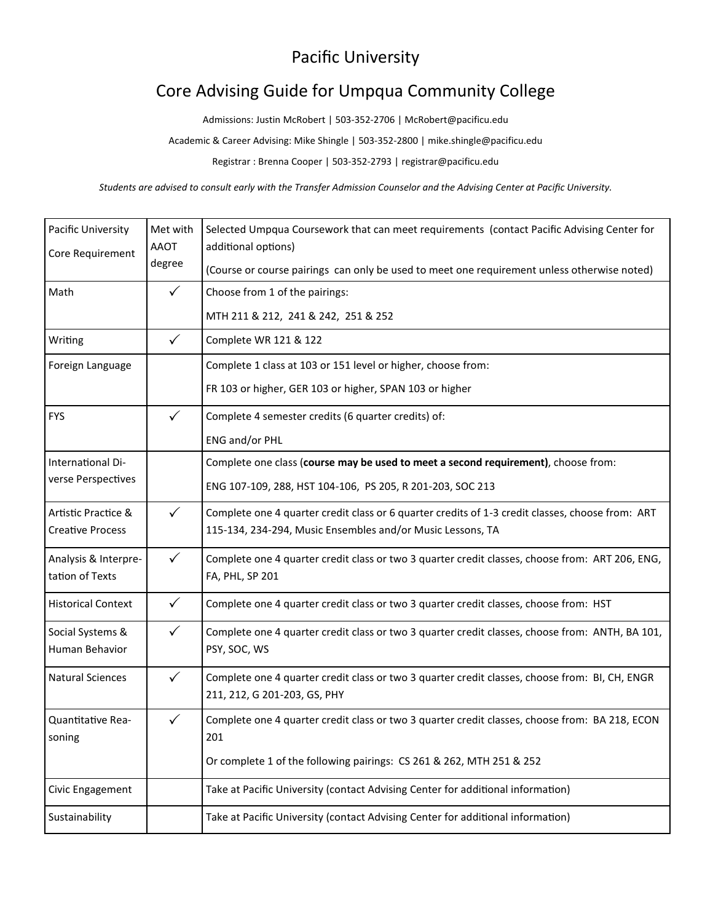## Pacific University

## Core Advising Guide for Umpqua Community College

Admissions: Justin McRobert | 503-352-2706 | McRo[bert@pacificu.edu](mailto:tania@pacificu.edu)

Academic & Career Advising: Mike Shingle | 503-352-2800 | mike.shingle@pacificu.edu

Registrar : Brenna Cooper | 503-352-2793 | registrar@pacificu.edu

*Students are advised to consult early with the Transfer Admission Counselor and the Advising Center at Pacific University.*

| Pacific University                             | Met with              | Selected Umpqua Coursework that can meet requirements (contact Pacific Advising Center for       |
|------------------------------------------------|-----------------------|--------------------------------------------------------------------------------------------------|
| Core Requirement                               | <b>AAOT</b><br>degree | additional options)                                                                              |
|                                                |                       | (Course or course pairings can only be used to meet one requirement unless otherwise noted)      |
| Math                                           | $\checkmark$          | Choose from 1 of the pairings:                                                                   |
|                                                |                       | MTH 211 & 212, 241 & 242, 251 & 252                                                              |
| Writing                                        | $\checkmark$          | Complete WR 121 & 122                                                                            |
| Foreign Language                               |                       | Complete 1 class at 103 or 151 level or higher, choose from:                                     |
|                                                |                       | FR 103 or higher, GER 103 or higher, SPAN 103 or higher                                          |
| <b>FYS</b>                                     | $\checkmark$          | Complete 4 semester credits (6 quarter credits) of:                                              |
|                                                |                       | ENG and/or PHL                                                                                   |
| International Di-<br>verse Perspectives        |                       | Complete one class (course may be used to meet a second requirement), choose from:               |
|                                                |                       | ENG 107-109, 288, HST 104-106, PS 205, R 201-203, SOC 213                                        |
| Artistic Practice &<br><b>Creative Process</b> | $\checkmark$          | Complete one 4 quarter credit class or 6 quarter credits of 1-3 credit classes, choose from: ART |
|                                                |                       | 115-134, 234-294, Music Ensembles and/or Music Lessons, TA                                       |
| Analysis & Interpre-                           | $\checkmark$          | Complete one 4 quarter credit class or two 3 quarter credit classes, choose from: ART 206, ENG,  |
| tation of Texts                                |                       | FA, PHL, SP 201                                                                                  |
| <b>Historical Context</b>                      | $\checkmark$          | Complete one 4 quarter credit class or two 3 quarter credit classes, choose from: HST            |
| Social Systems &                               | $\checkmark$          | Complete one 4 quarter credit class or two 3 quarter credit classes, choose from: ANTH, BA 101,  |
| Human Behavior                                 |                       | PSY, SOC, WS                                                                                     |
| <b>Natural Sciences</b>                        | $\checkmark$          | Complete one 4 quarter credit class or two 3 quarter credit classes, choose from: BI, CH, ENGR   |
|                                                |                       | 211, 212, G 201-203, GS, PHY                                                                     |
| Quantitative Rea-                              | $\checkmark$          | Complete one 4 quarter credit class or two 3 quarter credit classes, choose from: BA 218, ECON   |
| soning                                         |                       | 201                                                                                              |
|                                                |                       | Or complete 1 of the following pairings: CS 261 & 262, MTH 251 & 252                             |
| Civic Engagement                               |                       | Take at Pacific University (contact Advising Center for additional information)                  |
| Sustainability                                 |                       | Take at Pacific University (contact Advising Center for additional information)                  |